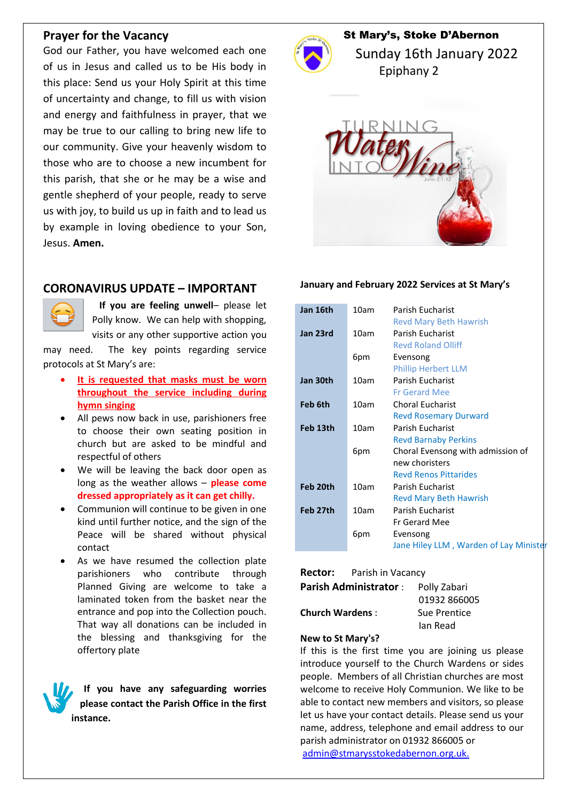### **Prayer for the Vacancy**

God our Father, you have welcomed each one of us in Jesus and called us to be His body in this place: Send us your Holy Spirit at this time of uncertainty and change, to fill us with vision and energy and faithfulness in prayer, that we may be true to our calling to bring new life to our community. Give your heavenly wisdom to those who are to choose a new incumbent for this parish, that she or he may be a wise and gentle shepherd of your people, ready to serve us with joy, to build us up in faith and to lead us by example in loving obedience to your Son, Jesus. **Amen.**

## **CORONAVIRUS UPDATE – IMPORTANT**



 **If you are feeling unwell**– please let Polly know. We can help with shopping, visits or any other supportive action you

may need. The key points regarding service protocols at St Mary's are:

- **It is requested that masks must be worn throughout the service including during hymn singing**
- All pews now back in use, parishioners free to choose their own seating position in church but are asked to be mindful and respectful of others
- We will be leaving the back door open as long as the weather allows – **please come dressed appropriately as it can get chilly.**
- Communion will continue to be given in one kind until further notice, and the sign of the Peace will be shared without physical contact
- As we have resumed the collection plate parishioners who contribute through Planned Giving are welcome to take a laminated token from the basket near the entrance and pop into the Collection pouch. That way all donations can be included in the blessing and thanksgiving for the offertory plate

**If you have any safeguarding worries please contact the Parish Office in the first instance.**



# St Mary's, Stoke D'Abernon

 Sunday 16th January 2022 Epiphany 2



#### **January and February 2022 Services at St Mary's**

| Jan 16th | 10am | Parish Eucharist                       |
|----------|------|----------------------------------------|
|          |      | <b>Revd Mary Beth Hawrish</b>          |
| Jan 23rd | 10am | Parish Eucharist                       |
|          |      | <b>Revd Roland Olliff</b>              |
|          | 6pm  | Evensong                               |
|          |      | <b>Phillip Herbert LLM</b>             |
| Jan 30th | 10am | Parish Eucharist                       |
|          |      | <b>Fr Gerard Mee</b>                   |
| Feb 6th  | 10am | <b>Choral Eucharist</b>                |
|          |      | <b>Revd Rosemary Durward</b>           |
| Feb 13th | 10am | Parish Eucharist                       |
|          |      | <b>Revd Barnaby Perkins</b>            |
|          | 6pm  | Choral Evensong with admission of      |
|          |      | new choristers                         |
|          |      | <b>Revd Renos Pittarides</b>           |
| Feb 20th | 10am | Parish Eucharist                       |
|          |      | <b>Revd Mary Beth Hawrish</b>          |
| Feb 27th | 10am | Parish Eucharist                       |
|          |      | <b>Fr Gerard Mee</b>                   |
|          | 6pm  | Evensong                               |
|          |      | Jane Hiley LLM, Warden of Lay Minister |

**Rector:** Parish in Vacancy

**Parish Administrator** : Polly Zabari

**Church Wardens** : Sue Prentice

 01932 866005 Ian Read

#### **New to St Mary's?**

If this is the first time you are joining us please introduce yourself to the Church Wardens or sides people. Members of all Christian churches are most welcome to receive Holy Communion. We like to be able to contact new members and visitors, so please let us have your contact details. Please send us your name, address, telephone and email address to our parish administrator on 01932 866005 or [admin@stmarysstokedabernon.org.uk.](mailto:admin@stmarysstokedabernon.org.uk)